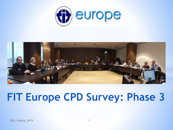



## **FIT Europe CPD Survey: Phase 3**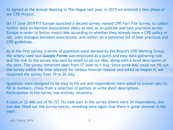As agreed at the Annual Meeting in The Hague last year, in 2019 we entered a new phase of our CPD Project.

On 17 June 2019 FIT Europe launched a second survey, named CPD Fact File Survey, to collect further data on Member Associations (MAs) as well as on policies and best practices across Europe in order to better match MAs according to whether they already have a CPD policy or not, start dialogue between associations, and reflect on a tentative list of best practices and CPD guidelines.

As in the first survey, a series of questions were devised by the Board's CPD Working Group, the widely used tool *Google Forms* was employed as a quick and easy data-gathering tool and the link to the survey was sent by email to all our MAs, along with a brief description of the aims. The survey remained open from 17 June to 1 July. Since some MAs could not fill out the survey within the time allotted for various internal reasons and asked to reopen it, we reopened the survey from 19 to 26 July.

Questions were designed to be easy to fill out and respondents were asked to answer yes/no, fill in numbers, chose from a selection of options or write short descriptions. Participation in the survey was entirely voluntary.

A total of 32 MAs out of 56 (57.1%) took part in the survey (there were 34 respondents, but two MAs filled out the survey twice), revealing once again that there is great interest in the topic.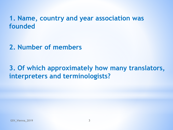## **1. Name, country and year association was founded**

**2. Number of members**

**3. Of which approximately how many translators, interpreters and terminologists?**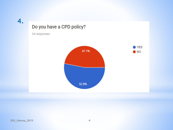**4.**

### Do you have a CPD policy?

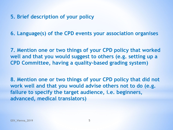**5. Brief description of your policy** 

**6. Language(s) of the CPD events your association organises**

**7. Mention one or two things of your CPD policy that worked well and that you would suggest to others (e.g. setting up a CPD Committee, having a quality-based grading system)**

**8. Mention one or two things of your CPD policy that did not work well and that you would advise others not to do (e.g. failure to specify the target audience, i.e. beginners, advanced, medical translators)**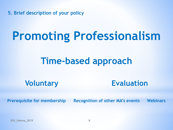**5. Brief description of your policy** 

# **Promoting Professionalism**

## **Time-based approach**

**Voluntary Evaluation**

**Prerequisite for membership Recognition of other MA's events Webinars**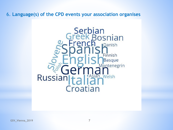### 6. **Language(s) of the CPD events your association organises**

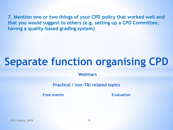**7. Mention one or two things of your CPD policy that worked well and that you would suggest to others (e.g. setting up a CPD Committee, having a quality-based grading system)** 

# **Separate function organising CPD**

**Webinars**

**Practical / non-T&I related topics**

**Free events Evaluation**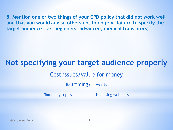**8. Mention one or two things of your CPD policy that did not work well and that you would advise others not to do (e.g. failure to specify the target audience, i.e. beginners, advanced, medical translators)**

## **Not specifying your target audience properly**

### Cost issues/value for money

Bad timing of events

Too many topics Not using webinars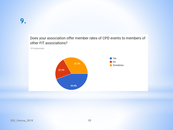#### Does your association offer member rates of CPD events to members of other FIT associations?

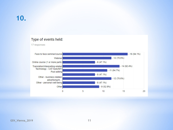## **10.**

#### Type of events held:

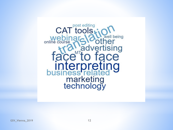CAT tools well being Transporter<br> **Transporter**<br> **Trace to face interpret**<br>business relate marketing<br>technology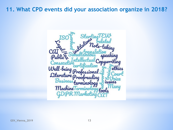**11. What CPD events did your association organize in 2018?**

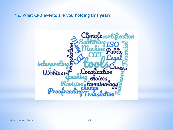**12. What CPD events are you holding this year?**

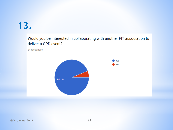## **13.**

### Would you be interested in collaborating with another FIT association to deliver a CPD event?